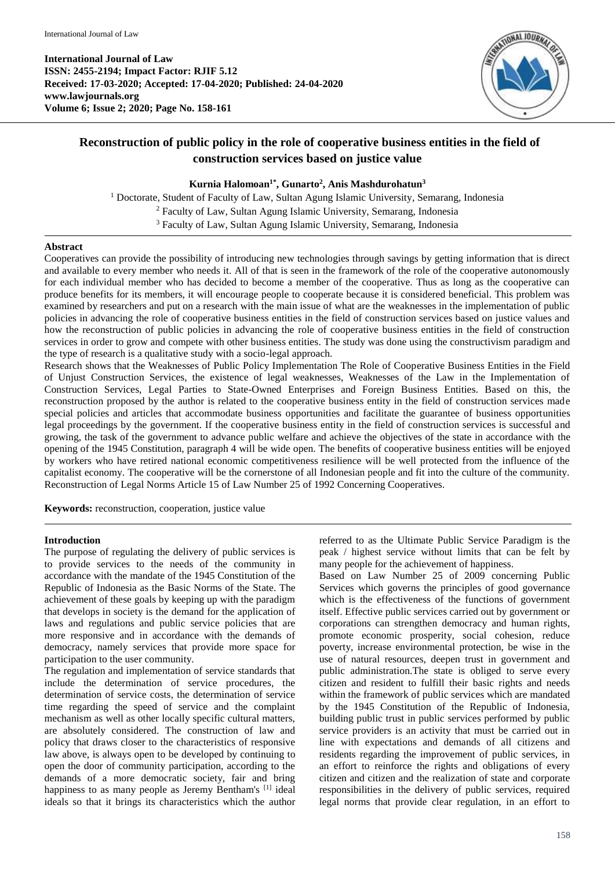**International Journal of Law ISSN: 2455-2194; Impact Factor: RJIF 5.12 Received: 17-03-2020; Accepted: 17-04-2020; Published: 24-04-2020 www.lawjournals.org Volume 6; Issue 2; 2020; Page No. 158-161**



# **Reconstruction of public policy in the role of cooperative business entities in the field of construction services based on justice value**

## **Kurnia Halomoan1\* , Gunarto<sup>2</sup> , Anis Mashdurohatun<sup>3</sup>**

<sup>1</sup> Doctorate, Student of Faculty of Law, Sultan Agung Islamic University, Semarang, Indonesia <sup>2</sup> Faculty of Law, Sultan Agung Islamic University, Semarang, Indonesia <sup>3</sup> Faculty of Law, Sultan Agung Islamic University, Semarang, Indonesia

#### **Abstract**

Cooperatives can provide the possibility of introducing new technologies through savings by getting information that is direct and available to every member who needs it. All of that is seen in the framework of the role of the cooperative autonomously for each individual member who has decided to become a member of the cooperative. Thus as long as the cooperative can produce benefits for its members, it will encourage people to cooperate because it is considered beneficial. This problem was examined by researchers and put on a research with the main issue of what are the weaknesses in the implementation of public policies in advancing the role of cooperative business entities in the field of construction services based on justice values and how the reconstruction of public policies in advancing the role of cooperative business entities in the field of construction services in order to grow and compete with other business entities. The study was done using the constructivism paradigm and the type of research is a qualitative study with a socio-legal approach.

Research shows that the Weaknesses of Public Policy Implementation The Role of Cooperative Business Entities in the Field of Unjust Construction Services, the existence of legal weaknesses, Weaknesses of the Law in the Implementation of Construction Services, Legal Parties to State-Owned Enterprises and Foreign Business Entities. Based on this, the reconstruction proposed by the author is related to the cooperative business entity in the field of construction services made special policies and articles that accommodate business opportunities and facilitate the guarantee of business opportunities legal proceedings by the government. If the cooperative business entity in the field of construction services is successful and growing, the task of the government to advance public welfare and achieve the objectives of the state in accordance with the opening of the 1945 Constitution, paragraph 4 will be wide open. The benefits of cooperative business entities will be enjoyed by workers who have retired national economic competitiveness resilience will be well protected from the influence of the capitalist economy. The cooperative will be the cornerstone of all Indonesian people and fit into the culture of the community. Reconstruction of Legal Norms Article 15 of Law Number 25 of 1992 Concerning Cooperatives.

**Keywords:** reconstruction, cooperation, justice value

## **Introduction**

The purpose of regulating the delivery of public services is to provide services to the needs of the community in accordance with the mandate of the 1945 Constitution of the Republic of Indonesia as the Basic Norms of the State. The achievement of these goals by keeping up with the paradigm that develops in society is the demand for the application of laws and regulations and public service policies that are more responsive and in accordance with the demands of democracy, namely services that provide more space for participation to the user community.

The regulation and implementation of service standards that include the determination of service procedures, the determination of service costs, the determination of service time regarding the speed of service and the complaint mechanism as well as other locally specific cultural matters, are absolutely considered. The construction of law and policy that draws closer to the characteristics of responsive law above, is always open to be developed by continuing to open the door of community participation, according to the demands of a more democratic society, fair and bring happiness to as many people as Jeremy Bentham's [1] ideal ideals so that it brings its characteristics which the author

referred to as the Ultimate Public Service Paradigm is the peak / highest service without limits that can be felt by many people for the achievement of happiness.

Based on Law Number 25 of 2009 concerning Public Services which governs the principles of good governance which is the effectiveness of the functions of government itself. Effective public services carried out by government or corporations can strengthen democracy and human rights, promote economic prosperity, social cohesion, reduce poverty, increase environmental protection, be wise in the use of natural resources, deepen trust in government and public administration.The state is obliged to serve every citizen and resident to fulfill their basic rights and needs within the framework of public services which are mandated by the 1945 Constitution of the Republic of Indonesia, building public trust in public services performed by public service providers is an activity that must be carried out in line with expectations and demands of all citizens and residents regarding the improvement of public services, in an effort to reinforce the rights and obligations of every citizen and citizen and the realization of state and corporate responsibilities in the delivery of public services, required legal norms that provide clear regulation, in an effort to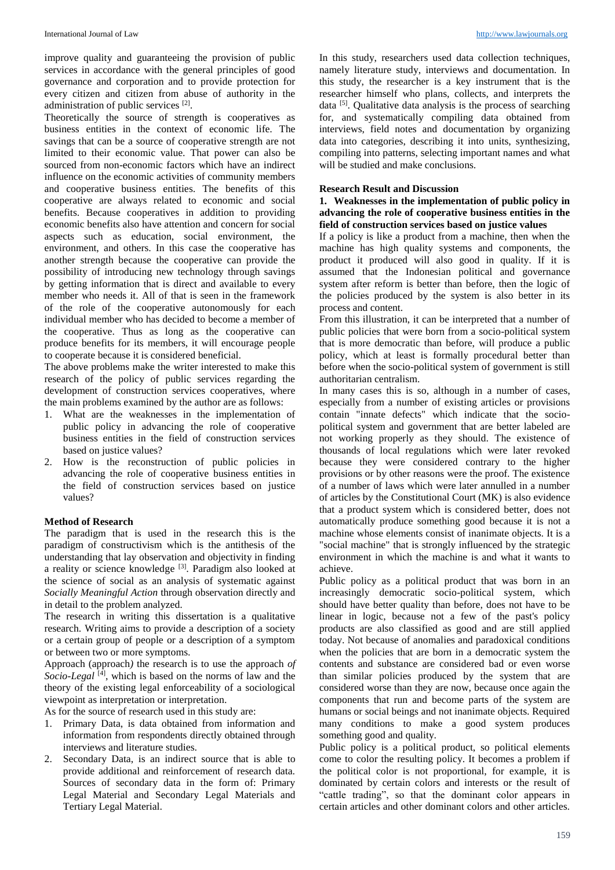improve quality and guaranteeing the provision of public services in accordance with the general principles of good governance and corporation and to provide protection for every citizen and citizen from abuse of authority in the administration of public services [2].

Theoretically the source of strength is cooperatives as business entities in the context of economic life. The savings that can be a source of cooperative strength are not limited to their economic value. That power can also be sourced from non-economic factors which have an indirect influence on the economic activities of community members and cooperative business entities. The benefits of this cooperative are always related to economic and social benefits. Because cooperatives in addition to providing economic benefits also have attention and concern for social aspects such as education, social environment, the environment, and others. In this case the cooperative has another strength because the cooperative can provide the possibility of introducing new technology through savings by getting information that is direct and available to every member who needs it. All of that is seen in the framework of the role of the cooperative autonomously for each individual member who has decided to become a member of the cooperative. Thus as long as the cooperative can produce benefits for its members, it will encourage people to cooperate because it is considered beneficial.

The above problems make the writer interested to make this research of the policy of public services regarding the development of construction services cooperatives, where the main problems examined by the author are as follows:

- 1. What are the weaknesses in the implementation of public policy in advancing the role of cooperative business entities in the field of construction services based on justice values?
- 2. How is the reconstruction of public policies in advancing the role of cooperative business entities in the field of construction services based on justice values?

## **Method of Research**

The paradigm that is used in the research this is the paradigm of constructivism which is the antithesis of the understanding that lay observation and objectivity in finding a reality or science knowledge <sup>[3]</sup>. Paradigm also looked at the science of social as an analysis of systematic against *Socially Meaningful Action* through observation directly and in detail to the problem analyzed*.*

The research in writing this dissertation is a qualitative research. Writing aims to provide a description of a society or a certain group of people or a description of a symptom or between two or more symptoms.

Approach (approach*)* the research is to use the approach *of*  Socio-Legal<sup>[4]</sup>, which is based on the norms of law and the theory of the existing legal enforceability of a sociological viewpoint as interpretation or interpretation.

As for the source of research used in this study are:

- 1. Primary Data, is data obtained from information and information from respondents directly obtained through interviews and literature studies.
- 2. Secondary Data, is an indirect source that is able to provide additional and reinforcement of research data. Sources of secondary data in the form of: Primary Legal Material and Secondary Legal Materials and Tertiary Legal Material.

In this study, researchers used data collection techniques, namely literature study, interviews and documentation. In this study, the researcher is a key instrument that is the researcher himself who plans, collects, and interprets the data <sup>[5]</sup>. Qualitative data analysis is the process of searching for, and systematically compiling data obtained from interviews, field notes and documentation by organizing data into categories, describing it into units, synthesizing, compiling into patterns, selecting important names and what will be studied and make conclusions.

## **Research Result and Discussion**

#### **1. Weaknesses in the implementation of public policy in advancing the role of cooperative business entities in the field of construction services based on justice values**

If a policy is like a product from a machine, then when the machine has high quality systems and components, the product it produced will also good in quality. If it is assumed that the Indonesian political and governance system after reform is better than before, then the logic of the policies produced by the system is also better in its process and content.

From this illustration, it can be interpreted that a number of public policies that were born from a socio-political system that is more democratic than before, will produce a public policy, which at least is formally procedural better than before when the socio-political system of government is still authoritarian centralism.

In many cases this is so, although in a number of cases, especially from a number of existing articles or provisions contain "innate defects" which indicate that the sociopolitical system and government that are better labeled are not working properly as they should. The existence of thousands of local regulations which were later revoked because they were considered contrary to the higher provisions or by other reasons were the proof. The existence of a number of laws which were later annulled in a number of articles by the Constitutional Court (MK) is also evidence that a product system which is considered better, does not automatically produce something good because it is not a machine whose elements consist of inanimate objects. It is a "social machine" that is strongly influenced by the strategic environment in which the machine is and what it wants to achieve.

Public policy as a political product that was born in an increasingly democratic socio-political system, which should have better quality than before, does not have to be linear in logic, because not a few of the past's policy products are also classified as good and are still applied today. Not because of anomalies and paradoxical conditions when the policies that are born in a democratic system the contents and substance are considered bad or even worse than similar policies produced by the system that are considered worse than they are now, because once again the components that run and become parts of the system are humans or social beings and not inanimate objects. Required many conditions to make a good system produces something good and quality.

Public policy is a political product, so political elements come to color the resulting policy. It becomes a problem if the political color is not proportional, for example, it is dominated by certain colors and interests or the result of "cattle trading", so that the dominant color appears in certain articles and other dominant colors and other articles.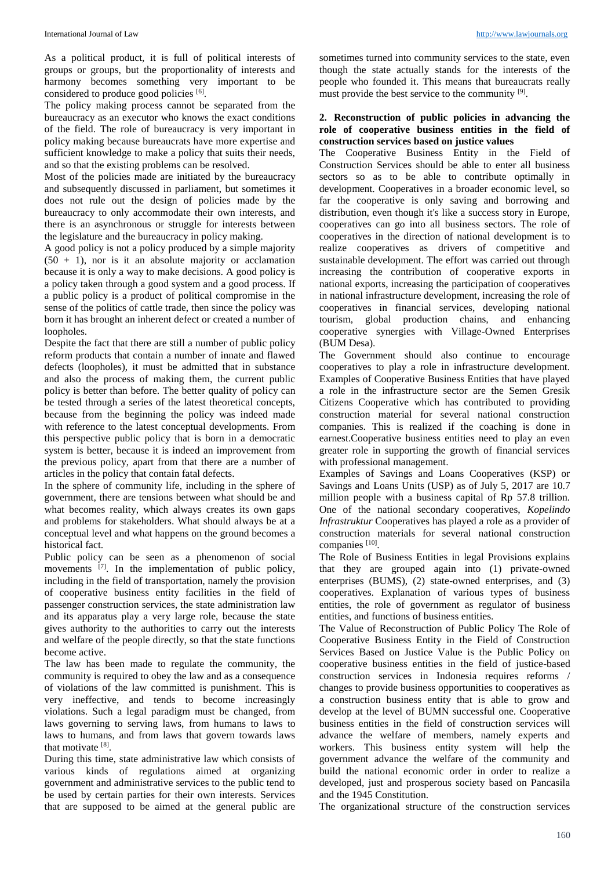As a political product, it is full of political interests of groups or groups, but the proportionality of interests and harmony becomes something very important to be considered to produce good policies [6].

The policy making process cannot be separated from the bureaucracy as an executor who knows the exact conditions of the field. The role of bureaucracy is very important in policy making because bureaucrats have more expertise and sufficient knowledge to make a policy that suits their needs, and so that the existing problems can be resolved.

Most of the policies made are initiated by the bureaucracy and subsequently discussed in parliament, but sometimes it does not rule out the design of policies made by the bureaucracy to only accommodate their own interests, and there is an asynchronous or struggle for interests between the legislature and the bureaucracy in policy making.

A good policy is not a policy produced by a simple majority  $(50 + 1)$ , nor is it an absolute majority or acclamation because it is only a way to make decisions. A good policy is a policy taken through a good system and a good process. If a public policy is a product of political compromise in the sense of the politics of cattle trade, then since the policy was born it has brought an inherent defect or created a number of loopholes.

Despite the fact that there are still a number of public policy reform products that contain a number of innate and flawed defects (loopholes), it must be admitted that in substance and also the process of making them, the current public policy is better than before. The better quality of policy can be tested through a series of the latest theoretical concepts, because from the beginning the policy was indeed made with reference to the latest conceptual developments. From this perspective public policy that is born in a democratic system is better, because it is indeed an improvement from the previous policy, apart from that there are a number of articles in the policy that contain fatal defects.

In the sphere of community life, including in the sphere of government, there are tensions between what should be and what becomes reality, which always creates its own gaps and problems for stakeholders. What should always be at a conceptual level and what happens on the ground becomes a historical fact.

Public policy can be seen as a phenomenon of social movements <sup>[7]</sup>. In the implementation of public policy, including in the field of transportation, namely the provision of cooperative business entity facilities in the field of passenger construction services, the state administration law and its apparatus play a very large role, because the state gives authority to the authorities to carry out the interests and welfare of the people directly, so that the state functions become active.

The law has been made to regulate the community, the community is required to obey the law and as a consequence of violations of the law committed is punishment. This is very ineffective, and tends to become increasingly violations. Such a legal paradigm must be changed, from laws governing to serving laws, from humans to laws to laws to humans, and from laws that govern towards laws that motivate [8].

During this time, state administrative law which consists of various kinds of regulations aimed at organizing government and administrative services to the public tend to be used by certain parties for their own interests. Services that are supposed to be aimed at the general public are

sometimes turned into community services to the state, even though the state actually stands for the interests of the people who founded it. This means that bureaucrats really must provide the best service to the community [9].

#### **2. Reconstruction of public policies in advancing the role of cooperative business entities in the field of construction services based on justice values**

The Cooperative Business Entity in the Field of Construction Services should be able to enter all business sectors so as to be able to contribute optimally in development. Cooperatives in a broader economic level, so far the cooperative is only saving and borrowing and distribution, even though it's like a success story in Europe, cooperatives can go into all business sectors. The role of cooperatives in the direction of national development is to realize cooperatives as drivers of competitive and sustainable development. The effort was carried out through increasing the contribution of cooperative exports in national exports, increasing the participation of cooperatives in national infrastructure development, increasing the role of cooperatives in financial services, developing national tourism, global production chains, and enhancing cooperative synergies with Village-Owned Enterprises (BUM Desa).

The Government should also continue to encourage cooperatives to play a role in infrastructure development. Examples of Cooperative Business Entities that have played a role in the infrastructure sector are the Semen Gresik Citizens Cooperative which has contributed to providing construction material for several national construction companies. This is realized if the coaching is done in earnest.Cooperative business entities need to play an even greater role in supporting the growth of financial services with professional management.

Examples of Savings and Loans Cooperatives (KSP) or Savings and Loans Units (USP) as of July 5, 2017 are 10.7 million people with a business capital of Rp 57.8 trillion. One of the national secondary cooperatives, *Kopelindo Infrastruktur* Cooperatives has played a role as a provider of construction materials for several national construction companies [10].

The Role of Business Entities in legal Provisions explains that they are grouped again into (1) private-owned enterprises (BUMS), (2) state-owned enterprises, and (3) cooperatives. Explanation of various types of business entities, the role of government as regulator of business entities, and functions of business entities.

The Value of Reconstruction of Public Policy The Role of Cooperative Business Entity in the Field of Construction Services Based on Justice Value is the Public Policy on cooperative business entities in the field of justice-based construction services in Indonesia requires reforms / changes to provide business opportunities to cooperatives as a construction business entity that is able to grow and develop at the level of BUMN successful one. Cooperative business entities in the field of construction services will advance the welfare of members, namely experts and workers. This business entity system will help the government advance the welfare of the community and build the national economic order in order to realize a developed, just and prosperous society based on Pancasila and the 1945 Constitution.

The organizational structure of the construction services